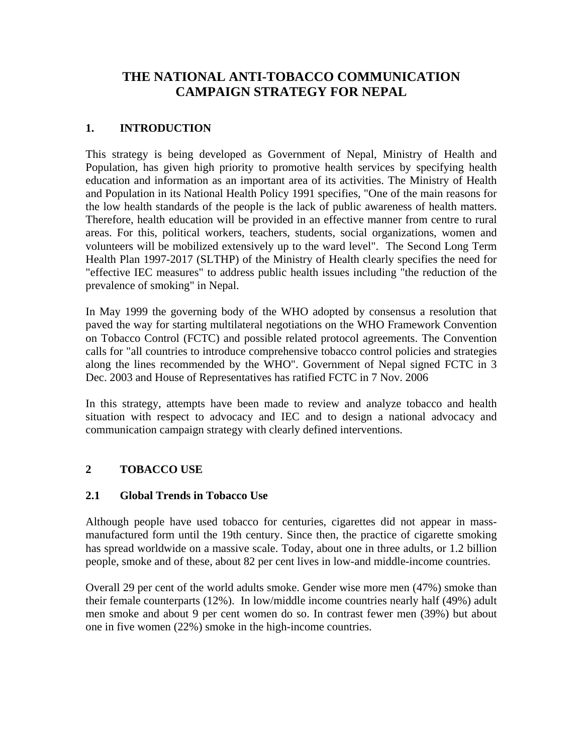# **THE NATIONAL ANTI-TOBACCO COMMUNICATION CAMPAIGN STRATEGY FOR NEPAL**

## **1. INTRODUCTION**

This strategy is being developed as Government of Nepal, Ministry of Health and Population, has given high priority to promotive health services by specifying health education and information as an important area of its activities. The Ministry of Health and Population in its National Health Policy 1991 specifies, "One of the main reasons for the low health standards of the people is the lack of public awareness of health matters. Therefore, health education will be provided in an effective manner from centre to rural areas. For this, political workers, teachers, students, social organizations, women and volunteers will be mobilized extensively up to the ward level". The Second Long Term Health Plan 1997-2017 (SLTHP) of the Ministry of Health clearly specifies the need for "effective IEC measures" to address public health issues including "the reduction of the prevalence of smoking" in Nepal.

In May 1999 the governing body of the WHO adopted by consensus a resolution that paved the way for starting multilateral negotiations on the WHO Framework Convention on Tobacco Control (FCTC) and possible related protocol agreements. The Convention calls for "all countries to introduce comprehensive tobacco control policies and strategies along the lines recommended by the WHO". Government of Nepal signed FCTC in 3 Dec. 2003 and House of Representatives has ratified FCTC in 7 Nov. 2006

In this strategy, attempts have been made to review and analyze tobacco and health situation with respect to advocacy and IEC and to design a national advocacy and communication campaign strategy with clearly defined interventions.

### **2 TOBACCO USE**

### **2.1 Global Trends in Tobacco Use**

Although people have used tobacco for centuries, cigarettes did not appear in massmanufactured form until the 19th century. Since then, the practice of cigarette smoking has spread worldwide on a massive scale. Today, about one in three adults, or 1.2 billion people, smoke and of these, about 82 per cent lives in low-and middle-income countries.

Overall 29 per cent of the world adults smoke. Gender wise more men (47%) smoke than their female counterparts (12%). In low/middle income countries nearly half (49%) adult men smoke and about 9 per cent women do so. In contrast fewer men (39%) but about one in five women (22%) smoke in the high-income countries.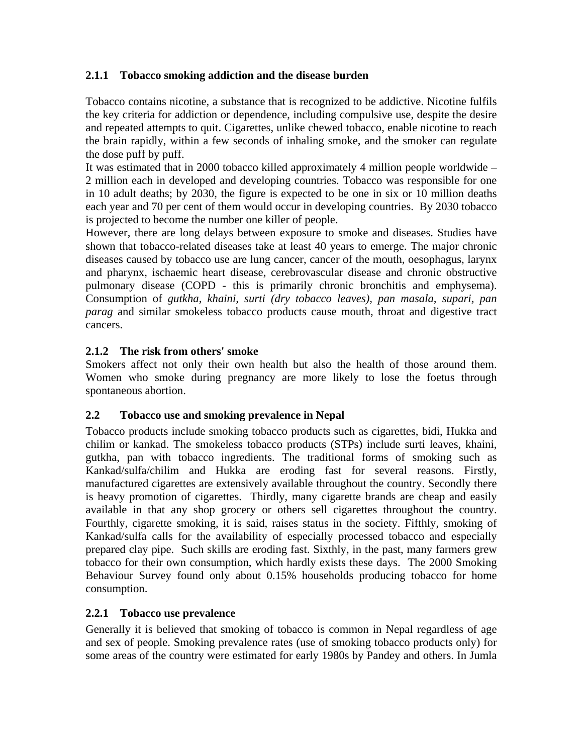### **2.1.1 Tobacco smoking addiction and the disease burden**

Tobacco contains nicotine, a substance that is recognized to be addictive. Nicotine fulfils the key criteria for addiction or dependence, including compulsive use, despite the desire and repeated attempts to quit. Cigarettes, unlike chewed tobacco, enable nicotine to reach the brain rapidly, within a few seconds of inhaling smoke, and the smoker can regulate the dose puff by puff.

It was estimated that in 2000 tobacco killed approximately 4 million people worldwide – 2 million each in developed and developing countries. Tobacco was responsible for one in 10 adult deaths; by 2030, the figure is expected to be one in six or 10 million deaths each year and 70 per cent of them would occur in developing countries. By 2030 tobacco is projected to become the number one killer of people.

However, there are long delays between exposure to smoke and diseases. Studies have shown that tobacco-related diseases take at least 40 years to emerge. The major chronic diseases caused by tobacco use are lung cancer, cancer of the mouth, oesophagus, larynx and pharynx, ischaemic heart disease, cerebrovascular disease and chronic obstructive pulmonary disease (COPD - this is primarily chronic bronchitis and emphysema). Consumption of *gutkha, khaini, surti (dry tobacco leaves), pan masala, supari, pan parag* and similar smokeless tobacco products cause mouth, throat and digestive tract cancers.

### **2.1.2 The risk from others' smoke**

Smokers affect not only their own health but also the health of those around them. Women who smoke during pregnancy are more likely to lose the foetus through spontaneous abortion.

### **2.2 Tobacco use and smoking prevalence in Nepal**

Tobacco products include smoking tobacco products such as cigarettes, bidi, Hukka and chilim or kankad. The smokeless tobacco products (STPs) include surti leaves, khaini, gutkha, pan with tobacco ingredients. The traditional forms of smoking such as Kankad/sulfa/chilim and Hukka are eroding fast for several reasons. Firstly, manufactured cigarettes are extensively available throughout the country. Secondly there is heavy promotion of cigarettes. Thirdly, many cigarette brands are cheap and easily available in that any shop grocery or others sell cigarettes throughout the country. Fourthly, cigarette smoking, it is said, raises status in the society. Fifthly, smoking of Kankad/sulfa calls for the availability of especially processed tobacco and especially prepared clay pipe. Such skills are eroding fast. Sixthly, in the past, many farmers grew tobacco for their own consumption, which hardly exists these days. The 2000 Smoking Behaviour Survey found only about 0.15% households producing tobacco for home consumption.

### **2.2.1 Tobacco use prevalence**

Generally it is believed that smoking of tobacco is common in Nepal regardless of age and sex of people. Smoking prevalence rates (use of smoking tobacco products only) for some areas of the country were estimated for early 1980s by Pandey and others. In Jumla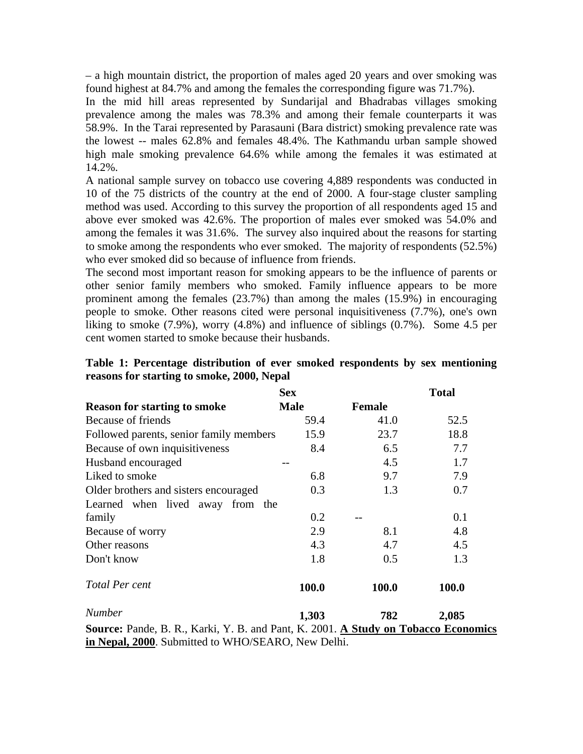– a high mountain district, the proportion of males aged 20 years and over smoking was found highest at 84.7% and among the females the corresponding figure was 71.7%).

In the mid hill areas represented by Sundarijal and Bhadrabas villages smoking prevalence among the males was 78.3% and among their female counterparts it was 58.9%. In the Tarai represented by Parasauni (Bara district) smoking prevalence rate was the lowest -- males 62.8% and females 48.4%. The Kathmandu urban sample showed high male smoking prevalence 64.6% while among the females it was estimated at 14.2%.

A national sample survey on tobacco use covering 4,889 respondents was conducted in 10 of the 75 districts of the country at the end of 2000. A four-stage cluster sampling method was used. According to this survey the proportion of all respondents aged 15 and above ever smoked was 42.6%. The proportion of males ever smoked was 54.0% and among the females it was 31.6%. The survey also inquired about the reasons for starting to smoke among the respondents who ever smoked. The majority of respondents (52.5%) who ever smoked did so because of influence from friends.

The second most important reason for smoking appears to be the influence of parents or other senior family members who smoked. Family influence appears to be more prominent among the females (23.7%) than among the males (15.9%) in encouraging people to smoke. Other reasons cited were personal inquisitiveness (7.7%), one's own liking to smoke (7.9%), worry (4.8%) and influence of siblings (0.7%). Some 4.5 per cent women started to smoke because their husbands.

|                                                                                    | <b>Sex</b>  |               | <b>Total</b> |  |  |  |
|------------------------------------------------------------------------------------|-------------|---------------|--------------|--|--|--|
| <b>Reason for starting to smoke</b>                                                | <b>Male</b> | <b>Female</b> |              |  |  |  |
| Because of friends                                                                 | 59.4        | 41.0          | 52.5         |  |  |  |
| Followed parents, senior family members                                            | 15.9        | 23.7          | 18.8         |  |  |  |
| Because of own inquisitiveness                                                     | 8.4         | 6.5           | 7.7          |  |  |  |
| Husband encouraged                                                                 |             | 4.5           | 1.7          |  |  |  |
| Liked to smoke                                                                     | 6.8         | 9.7           | 7.9          |  |  |  |
| Older brothers and sisters encouraged                                              | 0.3         | 1.3           | 0.7          |  |  |  |
| Learned when lived away from the                                                   |             |               |              |  |  |  |
| family                                                                             | 0.2         |               | 0.1          |  |  |  |
| Because of worry                                                                   | 2.9         | 8.1           | 4.8          |  |  |  |
| Other reasons                                                                      | 4.3         | 4.7           | 4.5          |  |  |  |
| Don't know                                                                         | 1.8         | 0.5           | 1.3          |  |  |  |
| Total Per cent                                                                     | 100.0       | 100.0         | 100.0        |  |  |  |
| <b>Number</b>                                                                      | 1,303       | 782           | 2,085        |  |  |  |
| Source: Pande, B. R., Karki, Y. B. and Pant, K. 2001. A Study on Tobacco Economics |             |               |              |  |  |  |
| in Nepal, 2000. Submitted to WHO/SEARO, New Delhi.                                 |             |               |              |  |  |  |

| Table 1: Percentage distribution of ever smoked respondents by sex mentioning |  |  |  |
|-------------------------------------------------------------------------------|--|--|--|
| reasons for starting to smoke, 2000, Nepal                                    |  |  |  |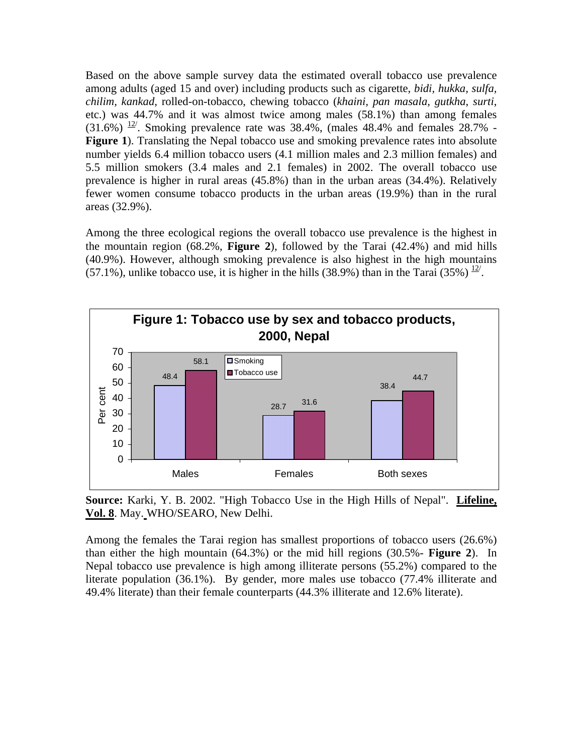Based on the above sample survey data the estimated overall tobacco use prevalence among adults (aged 15 and over) including products such as cigarette, *bidi, hukka, sulfa, chilim, kankad,* rolled-on-tobacco, chewing tobacco (*khaini, pan masala, gutkha*, *surti*, etc.) was 44.7% and it was almost twice among males (58.1%) than among females  $(31.6%)$  <sup>12</sup>. Smoking prevalence rate was 38.4%, (males 48.4% and females 28.7% -**Figure 1**). Translating the Nepal tobacco use and smoking prevalence rates into absolute number yields 6.4 million tobacco users (4.1 million males and 2.3 million females) and 5.5 million smokers (3.4 males and 2.1 females) in 2002. The overall tobacco use prevalence is higher in rural areas (45.8%) than in the urban areas (34.4%). Relatively fewer women consume tobacco products in the urban areas (19.9%) than in the rural areas (32.9%).

Among the three ecological regions the overall tobacco use prevalence is the highest in the mountain region (68.2%, **Figure 2**), followed by the Tarai (42.4%) and mid hills (40.9%). However, although smoking prevalence is also highest in the high mountains  $(57.1\%)$ , unlike tobacco use, it is higher in the hills (38.9%) than in the Tarai (35%)  $\frac{12}{1}$ .



**Source:** Karki, Y. B. 2002. "High Tobacco Use in the High Hills of Nepal". **Lifeline, Vol. 8**. May. WHO/SEARO, New Delhi.

Among the females the Tarai region has smallest proportions of tobacco users (26.6%) than either the high mountain (64.3%) or the mid hill regions (30.5%- **Figure 2**). In Nepal tobacco use prevalence is high among illiterate persons (55.2%) compared to the literate population (36.1%). By gender, more males use tobacco (77.4% illiterate and 49.4% literate) than their female counterparts (44.3% illiterate and 12.6% literate).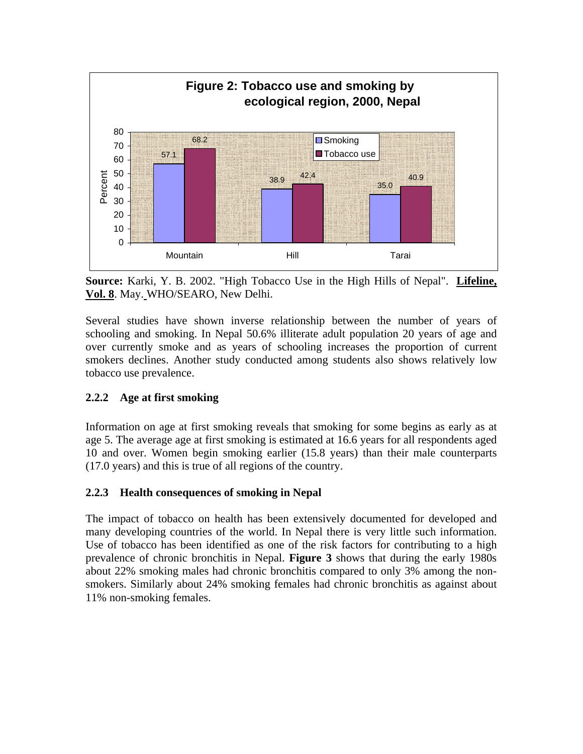

**Source:** Karki, Y. B. 2002. "High Tobacco Use in the High Hills of Nepal". **Lifeline, Vol. 8**. May. WHO/SEARO, New Delhi.

Several studies have shown inverse relationship between the number of years of schooling and smoking. In Nepal 50.6% illiterate adult population 20 years of age and over currently smoke and as years of schooling increases the proportion of current smokers declines. Another study conducted among students also shows relatively low tobacco use prevalence.

## **2.2.2 Age at first smoking**

Information on age at first smoking reveals that smoking for some begins as early as at age 5. The average age at first smoking is estimated at 16.6 years for all respondents aged 10 and over. Women begin smoking earlier (15.8 years) than their male counterparts (17.0 years) and this is true of all regions of the country.

### **2.2.3 Health consequences of smoking in Nepal**

The impact of tobacco on health has been extensively documented for developed and many developing countries of the world. In Nepal there is very little such information. Use of tobacco has been identified as one of the risk factors for contributing to a high prevalence of chronic bronchitis in Nepal. **Figure 3** shows that during the early 1980s about 22% smoking males had chronic bronchitis compared to only 3% among the nonsmokers. Similarly about 24% smoking females had chronic bronchitis as against about 11% non-smoking females.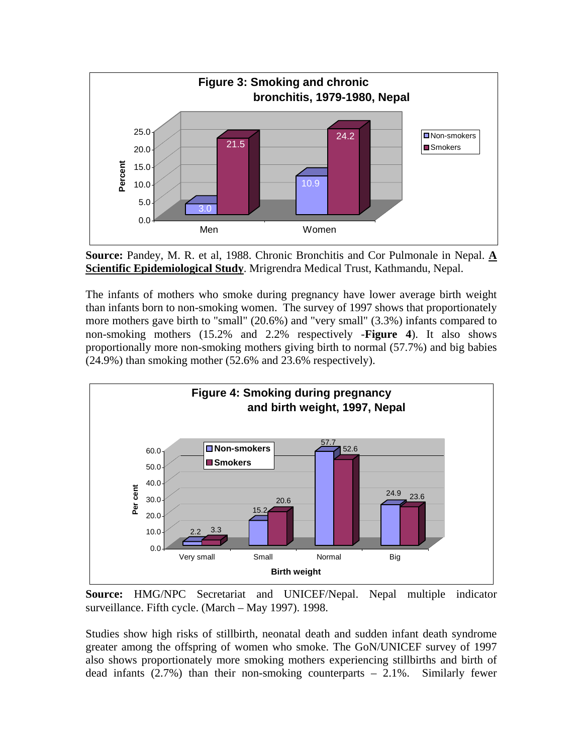

**Source:** Pandey, M. R. et al, 1988. Chronic Bronchitis and Cor Pulmonale in Nepal. **A Scientific Epidemiological Study**. Mrigrendra Medical Trust, Kathmandu, Nepal.

The infants of mothers who smoke during pregnancy have lower average birth weight than infants born to non-smoking women. The survey of 1997 shows that proportionately more mothers gave birth to "small" (20.6%) and "very small" (3.3%) infants compared to non-smoking mothers (15.2% and 2.2% respectively -**Figure 4**). It also shows proportionally more non-smoking mothers giving birth to normal (57.7%) and big babies (24.9%) than smoking mother (52.6% and 23.6% respectively).



**Source:** HMG/NPC Secretariat and UNICEF/Nepal. Nepal multiple indicator surveillance. Fifth cycle. (March – May 1997). 1998.

Studies show high risks of stillbirth, neonatal death and sudden infant death syndrome greater among the offspring of women who smoke. The GoN/UNICEF survey of 1997 also shows proportionately more smoking mothers experiencing stillbirths and birth of dead infants (2.7%) than their non-smoking counterparts – 2.1%. Similarly fewer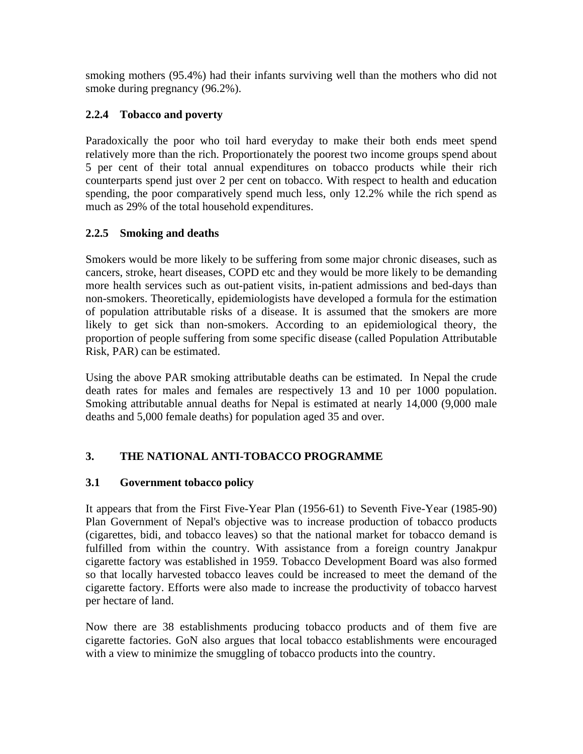smoking mothers (95.4%) had their infants surviving well than the mothers who did not smoke during pregnancy (96.2%).

### **2.2.4 Tobacco and poverty**

Paradoxically the poor who toil hard everyday to make their both ends meet spend relatively more than the rich. Proportionately the poorest two income groups spend about 5 per cent of their total annual expenditures on tobacco products while their rich counterparts spend just over 2 per cent on tobacco. With respect to health and education spending, the poor comparatively spend much less, only 12.2% while the rich spend as much as 29% of the total household expenditures.

### **2.2.5 Smoking and deaths**

Smokers would be more likely to be suffering from some major chronic diseases, such as cancers, stroke, heart diseases, COPD etc and they would be more likely to be demanding more health services such as out-patient visits, in-patient admissions and bed-days than non-smokers. Theoretically, epidemiologists have developed a formula for the estimation of population attributable risks of a disease. It is assumed that the smokers are more likely to get sick than non-smokers. According to an epidemiological theory, the proportion of people suffering from some specific disease (called Population Attributable Risk, PAR) can be estimated.

Using the above PAR smoking attributable deaths can be estimated. In Nepal the crude death rates for males and females are respectively 13 and 10 per 1000 population. Smoking attributable annual deaths for Nepal is estimated at nearly 14,000 (9,000 male deaths and 5,000 female deaths) for population aged 35 and over.

## **3. THE NATIONAL ANTI-TOBACCO PROGRAMME**

### **3.1 Government tobacco policy**

It appears that from the First Five-Year Plan (1956-61) to Seventh Five-Year (1985-90) Plan Government of Nepal's objective was to increase production of tobacco products (cigarettes, bidi, and tobacco leaves) so that the national market for tobacco demand is fulfilled from within the country. With assistance from a foreign country Janakpur cigarette factory was established in 1959. Tobacco Development Board was also formed so that locally harvested tobacco leaves could be increased to meet the demand of the cigarette factory. Efforts were also made to increase the productivity of tobacco harvest per hectare of land.

Now there are 38 establishments producing tobacco products and of them five are cigarette factories. GoN also argues that local tobacco establishments were encouraged with a view to minimize the smuggling of tobacco products into the country.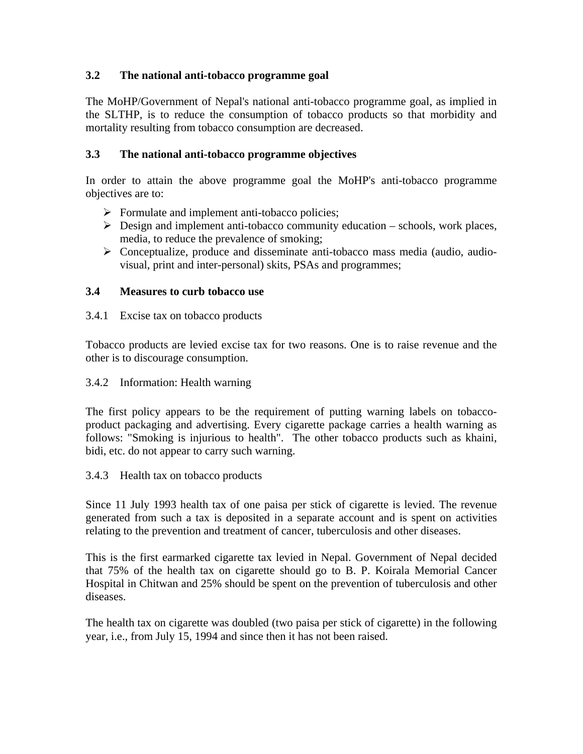### **3.2 The national anti-tobacco programme goal**

The MoHP/Government of Nepal's national anti-tobacco programme goal, as implied in the SLTHP, is to reduce the consumption of tobacco products so that morbidity and mortality resulting from tobacco consumption are decreased.

### **3.3 The national anti-tobacco programme objectives**

In order to attain the above programme goal the MoHP's anti-tobacco programme objectives are to:

- $\triangleright$  Formulate and implement anti-tobacco policies;
- $\triangleright$  Design and implement anti-tobacco community education schools, work places, media, to reduce the prevalence of smoking;
- $\triangleright$  Conceptualize, produce and disseminate anti-tobacco mass media (audio, audiovisual, print and inter-personal) skits, PSAs and programmes;

### **3.4 Measures to curb tobacco use**

### 3.4.1 Excise tax on tobacco products

Tobacco products are levied excise tax for two reasons. One is to raise revenue and the other is to discourage consumption.

### 3.4.2 Information: Health warning

The first policy appears to be the requirement of putting warning labels on tobaccoproduct packaging and advertising. Every cigarette package carries a health warning as follows: "Smoking is injurious to health". The other tobacco products such as khaini, bidi, etc. do not appear to carry such warning.

### 3.4.3 Health tax on tobacco products

Since 11 July 1993 health tax of one paisa per stick of cigarette is levied. The revenue generated from such a tax is deposited in a separate account and is spent on activities relating to the prevention and treatment of cancer, tuberculosis and other diseases.

This is the first earmarked cigarette tax levied in Nepal. Government of Nepal decided that 75% of the health tax on cigarette should go to B. P. Koirala Memorial Cancer Hospital in Chitwan and 25% should be spent on the prevention of tuberculosis and other diseases.

The health tax on cigarette was doubled (two paisa per stick of cigarette) in the following year, i.e., from July 15, 1994 and since then it has not been raised.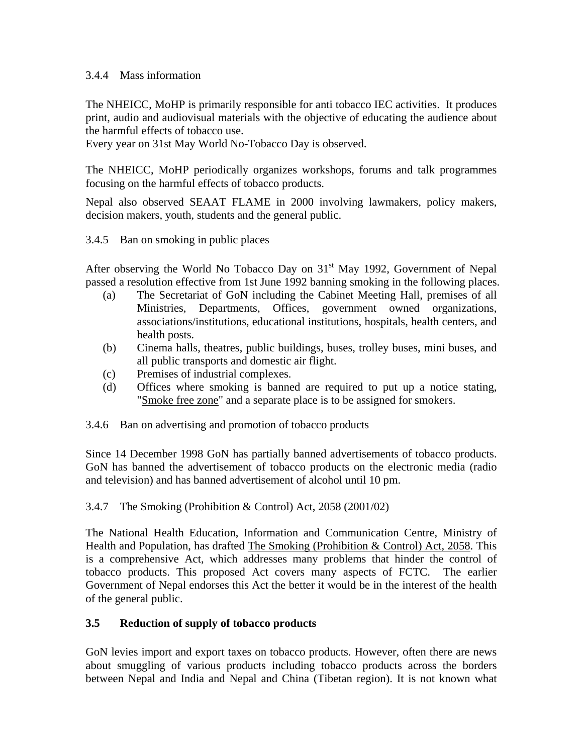#### 3.4.4 Mass information

The NHEICC, MoHP is primarily responsible for anti tobacco IEC activities. It produces print, audio and audiovisual materials with the objective of educating the audience about the harmful effects of tobacco use.

Every year on 31st May World No-Tobacco Day is observed.

The NHEICC, MoHP periodically organizes workshops, forums and talk programmes focusing on the harmful effects of tobacco products.

Nepal also observed SEAAT FLAME in 2000 involving lawmakers, policy makers, decision makers, youth, students and the general public.

#### 3.4.5 Ban on smoking in public places

After observing the World No Tobacco Day on  $31<sup>st</sup>$  May 1992, Government of Nepal passed a resolution effective from 1st June 1992 banning smoking in the following places.

- (a) The Secretariat of GoN including the Cabinet Meeting Hall, premises of all Ministries, Departments, Offices, government owned organizations, associations/institutions, educational institutions, hospitals, health centers, and health posts.
- (b) Cinema halls, theatres, public buildings, buses, trolley buses, mini buses, and all public transports and domestic air flight.
- (c) Premises of industrial complexes.
- (d) Offices where smoking is banned are required to put up a notice stating, "Smoke free zone" and a separate place is to be assigned for smokers.
- 3.4.6 Ban on advertising and promotion of tobacco products

Since 14 December 1998 GoN has partially banned advertisements of tobacco products. GoN has banned the advertisement of tobacco products on the electronic media (radio and television) and has banned advertisement of alcohol until 10 pm.

3.4.7 The Smoking (Prohibition & Control) Act, 2058 (2001/02)

The National Health Education, Information and Communication Centre, Ministry of Health and Population, has drafted The Smoking (Prohibition & Control) Act, 2058. This is a comprehensive Act, which addresses many problems that hinder the control of tobacco products. This proposed Act covers many aspects of FCTC. The earlier Government of Nepal endorses this Act the better it would be in the interest of the health of the general public.

### **3.5 Reduction of supply of tobacco products**

GoN levies import and export taxes on tobacco products. However, often there are news about smuggling of various products including tobacco products across the borders between Nepal and India and Nepal and China (Tibetan region). It is not known what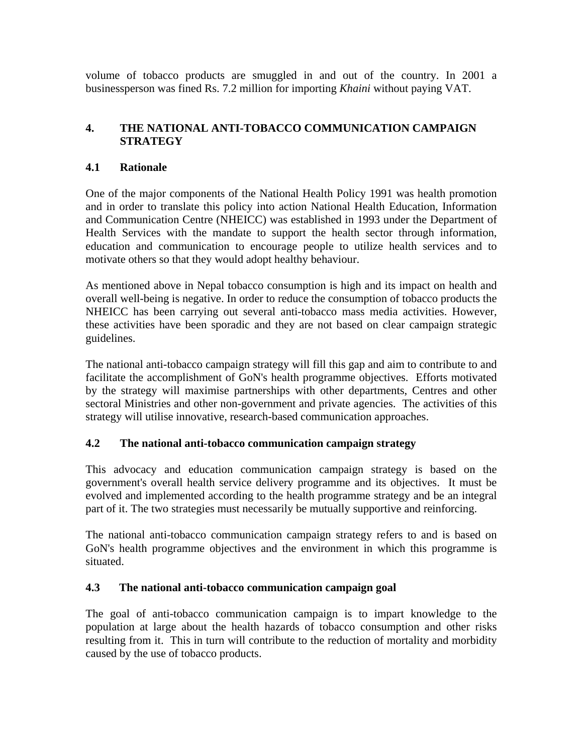volume of tobacco products are smuggled in and out of the country. In 2001 a businessperson was fined Rs. 7.2 million for importing *Khaini* without paying VAT.

### **4. THE NATIONAL ANTI-TOBACCO COMMUNICATION CAMPAIGN STRATEGY**

### **4.1 Rationale**

One of the major components of the National Health Policy 1991 was health promotion and in order to translate this policy into action National Health Education, Information and Communication Centre (NHEICC) was established in 1993 under the Department of Health Services with the mandate to support the health sector through information, education and communication to encourage people to utilize health services and to motivate others so that they would adopt healthy behaviour.

As mentioned above in Nepal tobacco consumption is high and its impact on health and overall well-being is negative. In order to reduce the consumption of tobacco products the NHEICC has been carrying out several anti-tobacco mass media activities. However, these activities have been sporadic and they are not based on clear campaign strategic guidelines.

The national anti-tobacco campaign strategy will fill this gap and aim to contribute to and facilitate the accomplishment of GoN's health programme objectives. Efforts motivated by the strategy will maximise partnerships with other departments, Centres and other sectoral Ministries and other non-government and private agencies. The activities of this strategy will utilise innovative, research-based communication approaches.

### **4.2 The national anti-tobacco communication campaign strategy**

This advocacy and education communication campaign strategy is based on the government's overall health service delivery programme and its objectives. It must be evolved and implemented according to the health programme strategy and be an integral part of it. The two strategies must necessarily be mutually supportive and reinforcing.

The national anti-tobacco communication campaign strategy refers to and is based on GoN's health programme objectives and the environment in which this programme is situated.

### **4.3 The national anti-tobacco communication campaign goal**

The goal of anti-tobacco communication campaign is to impart knowledge to the population at large about the health hazards of tobacco consumption and other risks resulting from it. This in turn will contribute to the reduction of mortality and morbidity caused by the use of tobacco products.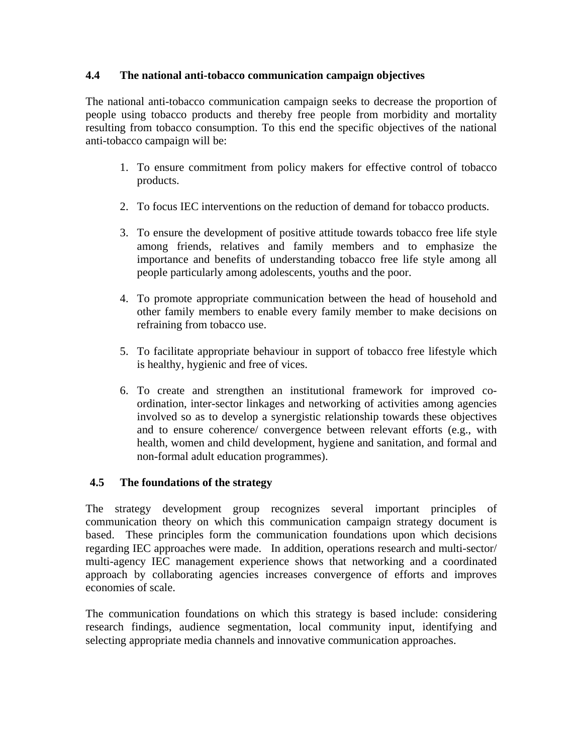### **4.4 The national anti-tobacco communication campaign objectives**

The national anti-tobacco communication campaign seeks to decrease the proportion of people using tobacco products and thereby free people from morbidity and mortality resulting from tobacco consumption. To this end the specific objectives of the national anti-tobacco campaign will be:

- 1. To ensure commitment from policy makers for effective control of tobacco products.
- 2. To focus IEC interventions on the reduction of demand for tobacco products.
- 3. To ensure the development of positive attitude towards tobacco free life style among friends, relatives and family members and to emphasize the importance and benefits of understanding tobacco free life style among all people particularly among adolescents, youths and the poor.
- 4. To promote appropriate communication between the head of household and other family members to enable every family member to make decisions on refraining from tobacco use.
- 5. To facilitate appropriate behaviour in support of tobacco free lifestyle which is healthy, hygienic and free of vices.
- 6. To create and strengthen an institutional framework for improved coordination, inter-sector linkages and networking of activities among agencies involved so as to develop a synergistic relationship towards these objectives and to ensure coherence/ convergence between relevant efforts (e.g., with health, women and child development, hygiene and sanitation, and formal and non-formal adult education programmes).

### **4.5 The foundations of the strategy**

The strategy development group recognizes several important principles of communication theory on which this communication campaign strategy document is based. These principles form the communication foundations upon which decisions regarding IEC approaches were made. In addition, operations research and multi-sector/ multi-agency IEC management experience shows that networking and a coordinated approach by collaborating agencies increases convergence of efforts and improves economies of scale.

The communication foundations on which this strategy is based include: considering research findings, audience segmentation, local community input, identifying and selecting appropriate media channels and innovative communication approaches.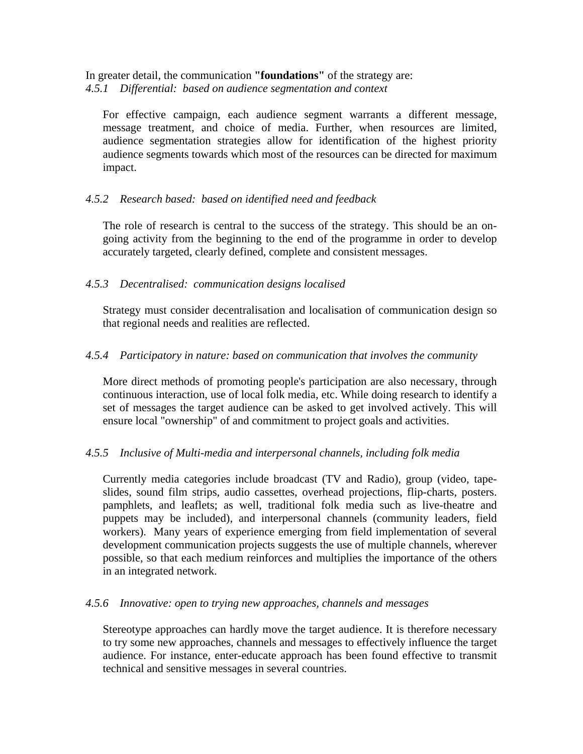In greater detail, the communication **"foundations"** of the strategy are: *4.5.1 Differential: based on audience segmentation and context* 

For effective campaign, each audience segment warrants a different message, message treatment, and choice of media. Further, when resources are limited, audience segmentation strategies allow for identification of the highest priority audience segments towards which most of the resources can be directed for maximum impact.

#### *4.5.2 Research based: based on identified need and feedback*

The role of research is central to the success of the strategy. This should be an ongoing activity from the beginning to the end of the programme in order to develop accurately targeted, clearly defined, complete and consistent messages.

#### *4.5.3 Decentralised: communication designs localised*

Strategy must consider decentralisation and localisation of communication design so that regional needs and realities are reflected.

#### *4.5.4 Participatory in nature: based on communication that involves the community*

More direct methods of promoting people's participation are also necessary, through continuous interaction, use of local folk media, etc. While doing research to identify a set of messages the target audience can be asked to get involved actively. This will ensure local "ownership" of and commitment to project goals and activities.

#### *4.5.5 Inclusive of Multi-media and interpersonal channels, including folk media*

Currently media categories include broadcast (TV and Radio), group (video, tapeslides, sound film strips, audio cassettes, overhead projections, flip-charts, posters. pamphlets, and leaflets; as well, traditional folk media such as live-theatre and puppets may be included), and interpersonal channels (community leaders, field workers). Many years of experience emerging from field implementation of several development communication projects suggests the use of multiple channels, wherever possible, so that each medium reinforces and multiplies the importance of the others in an integrated network.

#### *4.5.6 Innovative: open to trying new approaches, channels and messages*

Stereotype approaches can hardly move the target audience. It is therefore necessary to try some new approaches, channels and messages to effectively influence the target audience. For instance, enter-educate approach has been found effective to transmit technical and sensitive messages in several countries.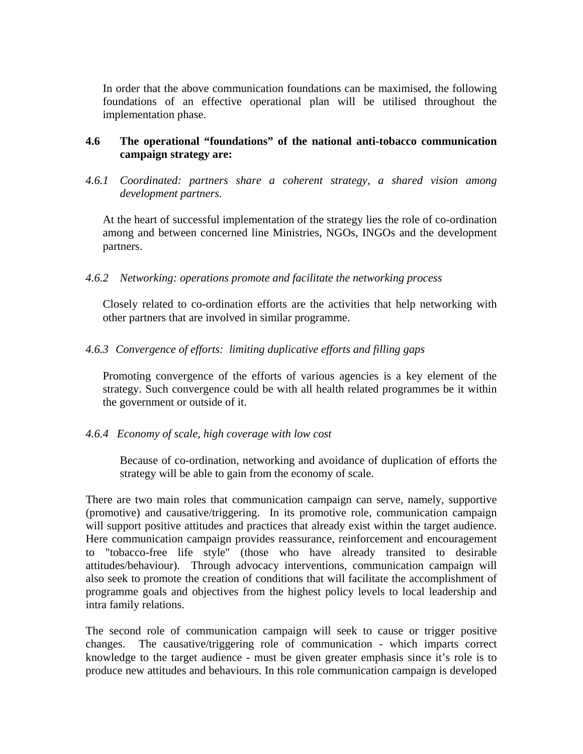In order that the above communication foundations can be maximised, the following foundations of an effective operational plan will be utilised throughout the implementation phase.

#### **4.6 The operational "foundations" of the national anti-tobacco communication campaign strategy are:**

*4.6.1 Coordinated: partners share a coherent strategy, a shared vision among development partners.* 

At the heart of successful implementation of the strategy lies the role of co-ordination among and between concerned line Ministries, NGOs, INGOs and the development partners.

#### *4.6.2 Networking: operations promote and facilitate the networking process*

Closely related to co-ordination efforts are the activities that help networking with other partners that are involved in similar programme.

#### *4.6.3 Convergence of efforts: limiting duplicative efforts and filling gaps*

Promoting convergence of the efforts of various agencies is a key element of the strategy. Such convergence could be with all health related programmes be it within the government or outside of it.

#### *4.6.4 Economy of scale, high coverage with low cost*

Because of co-ordination, networking and avoidance of duplication of efforts the strategy will be able to gain from the economy of scale.

There are two main roles that communication campaign can serve, namely, supportive (promotive) and causative/triggering. In its promotive role, communication campaign will support positive attitudes and practices that already exist within the target audience. Here communication campaign provides reassurance, reinforcement and encouragement to "tobacco-free life style" (those who have already transited to desirable attitudes/behaviour). Through advocacy interventions, communication campaign will also seek to promote the creation of conditions that will facilitate the accomplishment of programme goals and objectives from the highest policy levels to local leadership and intra family relations.

The second role of communication campaign will seek to cause or trigger positive changes. The causative/triggering role of communication - which imparts correct knowledge to the target audience - must be given greater emphasis since it's role is to produce new attitudes and behaviours. In this role communication campaign is developed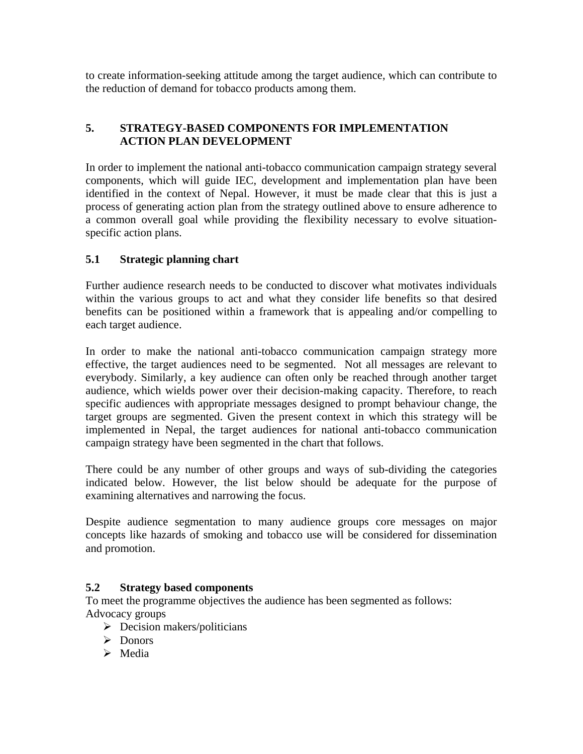to create information-seeking attitude among the target audience, which can contribute to the reduction of demand for tobacco products among them.

## **5. STRATEGY-BASED COMPONENTS FOR IMPLEMENTATION ACTION PLAN DEVELOPMENT**

In order to implement the national anti-tobacco communication campaign strategy several components, which will guide IEC, development and implementation plan have been identified in the context of Nepal. However, it must be made clear that this is just a process of generating action plan from the strategy outlined above to ensure adherence to a common overall goal while providing the flexibility necessary to evolve situationspecific action plans.

### **5.1 Strategic planning chart**

Further audience research needs to be conducted to discover what motivates individuals within the various groups to act and what they consider life benefits so that desired benefits can be positioned within a framework that is appealing and/or compelling to each target audience.

In order to make the national anti-tobacco communication campaign strategy more effective, the target audiences need to be segmented. Not all messages are relevant to everybody. Similarly, a key audience can often only be reached through another target audience, which wields power over their decision-making capacity. Therefore, to reach specific audiences with appropriate messages designed to prompt behaviour change, the target groups are segmented. Given the present context in which this strategy will be implemented in Nepal, the target audiences for national anti-tobacco communication campaign strategy have been segmented in the chart that follows.

There could be any number of other groups and ways of sub-dividing the categories indicated below. However, the list below should be adequate for the purpose of examining alternatives and narrowing the focus.

Despite audience segmentation to many audience groups core messages on major concepts like hazards of smoking and tobacco use will be considered for dissemination and promotion.

### **5.2 Strategy based components**

To meet the programme objectives the audience has been segmented as follows: Advocacy groups

- $\triangleright$  Decision makers/politicians
- ¾ Donors
- $\triangleright$  Media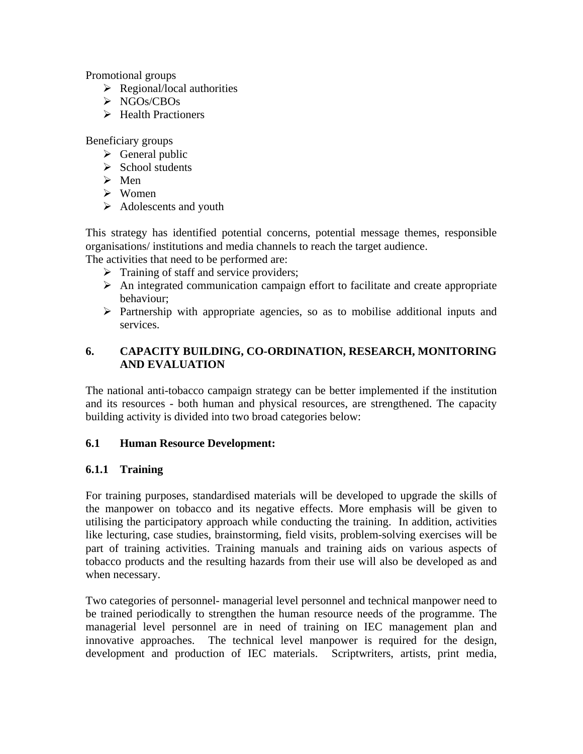Promotional groups

- $\triangleright$  Regional/local authorities
- ¾ NGOs/CBOs
- $\triangleright$  Health Practioners

Beneficiary groups

- $\triangleright$  General public
- $\triangleright$  School students
- $\triangleright$  Men
- $\triangleright$  Women
- $\triangleright$  Adolescents and youth

This strategy has identified potential concerns, potential message themes, responsible organisations/ institutions and media channels to reach the target audience.

The activities that need to be performed are:

- $\triangleright$  Training of staff and service providers;
- $\triangleright$  An integrated communication campaign effort to facilitate and create appropriate behaviour;
- $\triangleright$  Partnership with appropriate agencies, so as to mobilise additional inputs and services.

## **6. CAPACITY BUILDING, CO-ORDINATION, RESEARCH, MONITORING AND EVALUATION**

The national anti-tobacco campaign strategy can be better implemented if the institution and its resources - both human and physical resources, are strengthened. The capacity building activity is divided into two broad categories below:

### **6.1 Human Resource Development:**

### **6.1.1 Training**

For training purposes, standardised materials will be developed to upgrade the skills of the manpower on tobacco and its negative effects. More emphasis will be given to utilising the participatory approach while conducting the training. In addition, activities like lecturing, case studies, brainstorming, field visits, problem-solving exercises will be part of training activities. Training manuals and training aids on various aspects of tobacco products and the resulting hazards from their use will also be developed as and when necessary.

Two categories of personnel- managerial level personnel and technical manpower need to be trained periodically to strengthen the human resource needs of the programme. The managerial level personnel are in need of training on IEC management plan and innovative approaches. The technical level manpower is required for the design, development and production of IEC materials. Scriptwriters, artists, print media,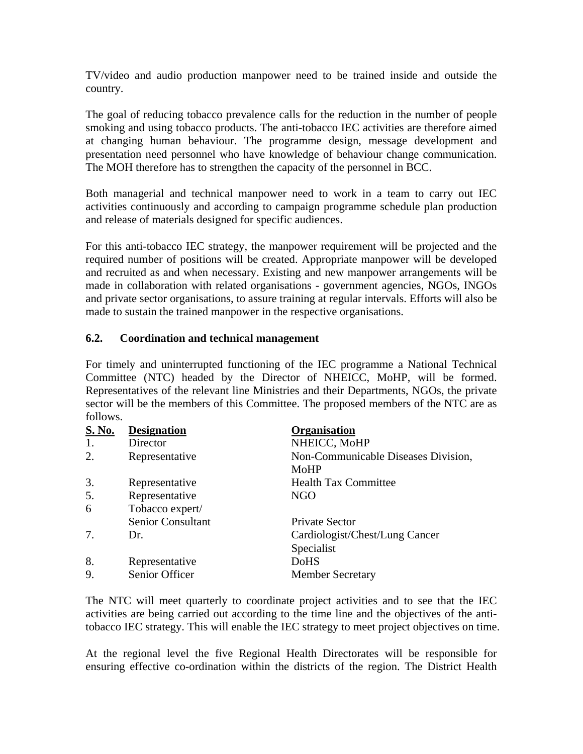TV/video and audio production manpower need to be trained inside and outside the country.

The goal of reducing tobacco prevalence calls for the reduction in the number of people smoking and using tobacco products. The anti-tobacco IEC activities are therefore aimed at changing human behaviour. The programme design, message development and presentation need personnel who have knowledge of behaviour change communication. The MOH therefore has to strengthen the capacity of the personnel in BCC.

Both managerial and technical manpower need to work in a team to carry out IEC activities continuously and according to campaign programme schedule plan production and release of materials designed for specific audiences.

For this anti-tobacco IEC strategy, the manpower requirement will be projected and the required number of positions will be created. Appropriate manpower will be developed and recruited as and when necessary. Existing and new manpower arrangements will be made in collaboration with related organisations - government agencies, NGOs, INGOs and private sector organisations, to assure training at regular intervals. Efforts will also be made to sustain the trained manpower in the respective organisations.

#### **6.2. Coordination and technical management**

For timely and uninterrupted functioning of the IEC programme a National Technical Committee (NTC) headed by the Director of NHEICC, MoHP, will be formed. Representatives of the relevant line Ministries and their Departments, NGOs, the private sector will be the members of this Committee. The proposed members of the NTC are as follows.

| <b>S. No.</b> | <b>Designation</b> | <b>Organisation</b>                         |
|---------------|--------------------|---------------------------------------------|
| 1.            | Director           | NHEICC, MoHP                                |
| 2.            | Representative     | Non-Communicable Diseases Division,<br>MoHP |
| 3.            | Representative     | <b>Health Tax Committee</b>                 |
| 5.            | Representative     | NGO                                         |
| 6             | Tobacco expert/    |                                             |
|               | Senior Consultant  | Private Sector                              |
| 7.            | Dr.                | Cardiologist/Chest/Lung Cancer              |
|               |                    | Specialist                                  |
| 8.            | Representative     | <b>DoHS</b>                                 |
| 9.            | Senior Officer     | <b>Member Secretary</b>                     |

The NTC will meet quarterly to coordinate project activities and to see that the IEC activities are being carried out according to the time line and the objectives of the antitobacco IEC strategy. This will enable the IEC strategy to meet project objectives on time.

At the regional level the five Regional Health Directorates will be responsible for ensuring effective co-ordination within the districts of the region. The District Health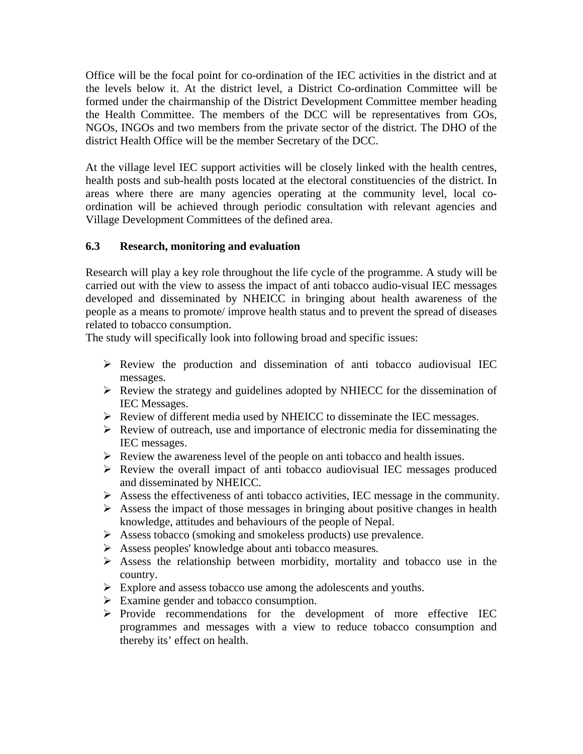Office will be the focal point for co-ordination of the IEC activities in the district and at the levels below it. At the district level, a District Co-ordination Committee will be formed under the chairmanship of the District Development Committee member heading the Health Committee. The members of the DCC will be representatives from GOs, NGOs, INGOs and two members from the private sector of the district. The DHO of the district Health Office will be the member Secretary of the DCC.

At the village level IEC support activities will be closely linked with the health centres, health posts and sub-health posts located at the electoral constituencies of the district. In areas where there are many agencies operating at the community level, local coordination will be achieved through periodic consultation with relevant agencies and Village Development Committees of the defined area.

### **6.3 Research, monitoring and evaluation**

Research will play a key role throughout the life cycle of the programme. A study will be carried out with the view to assess the impact of anti tobacco audio-visual IEC messages developed and disseminated by NHEICC in bringing about health awareness of the people as a means to promote/ improve health status and to prevent the spread of diseases related to tobacco consumption.

The study will specifically look into following broad and specific issues:

- $\triangleright$  Review the production and dissemination of anti-tobacco audiovisual IEC messages.
- $\triangleright$  Review the strategy and guidelines adopted by NHIECC for the dissemination of IEC Messages.
- $\triangleright$  Review of different media used by NHEICC to disseminate the IEC messages.
- $\triangleright$  Review of outreach, use and importance of electronic media for disseminating the IEC messages.
- $\triangleright$  Review the awareness level of the people on anti-tobacco and health issues.
- $\triangleright$  Review the overall impact of anti-tobacco audiovisual IEC messages produced and disseminated by NHEICC.
- $\triangleright$  Assess the effectiveness of anti tobacco activities, IEC message in the community.
- $\triangleright$  Assess the impact of those messages in bringing about positive changes in health knowledge, attitudes and behaviours of the people of Nepal.
- ¾ Assess tobacco (smoking and smokeless products) use prevalence.
- ¾ Assess peoples' knowledge about anti tobacco measures.
- $\triangleright$  Assess the relationship between morbidity, mortality and tobacco use in the country.
- ¾ Explore and assess tobacco use among the adolescents and youths.
- $\triangleright$  Examine gender and tobacco consumption.
- ¾ Provide recommendations for the development of more effective IEC programmes and messages with a view to reduce tobacco consumption and thereby its' effect on health.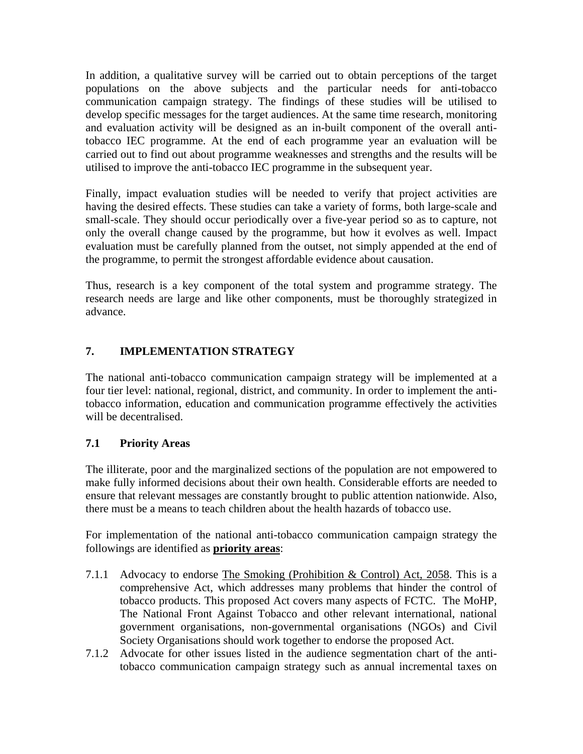In addition, a qualitative survey will be carried out to obtain perceptions of the target populations on the above subjects and the particular needs for anti-tobacco communication campaign strategy. The findings of these studies will be utilised to develop specific messages for the target audiences. At the same time research, monitoring and evaluation activity will be designed as an in-built component of the overall antitobacco IEC programme. At the end of each programme year an evaluation will be carried out to find out about programme weaknesses and strengths and the results will be utilised to improve the anti-tobacco IEC programme in the subsequent year.

Finally, impact evaluation studies will be needed to verify that project activities are having the desired effects. These studies can take a variety of forms, both large-scale and small-scale. They should occur periodically over a five-year period so as to capture, not only the overall change caused by the programme, but how it evolves as well. Impact evaluation must be carefully planned from the outset, not simply appended at the end of the programme, to permit the strongest affordable evidence about causation.

Thus, research is a key component of the total system and programme strategy. The research needs are large and like other components, must be thoroughly strategized in advance.

## **7. IMPLEMENTATION STRATEGY**

The national anti-tobacco communication campaign strategy will be implemented at a four tier level: national, regional, district, and community. In order to implement the antitobacco information, education and communication programme effectively the activities will be decentralised.

### **7.1 Priority Areas**

The illiterate, poor and the marginalized sections of the population are not empowered to make fully informed decisions about their own health. Considerable efforts are needed to ensure that relevant messages are constantly brought to public attention nationwide. Also, there must be a means to teach children about the health hazards of tobacco use.

For implementation of the national anti-tobacco communication campaign strategy the followings are identified as **priority areas**:

- 7.1.1 Advocacy to endorse The Smoking (Prohibition & Control) Act, 2058. This is a comprehensive Act, which addresses many problems that hinder the control of tobacco products. This proposed Act covers many aspects of FCTC. The MoHP, The National Front Against Tobacco and other relevant international, national government organisations, non-governmental organisations (NGOs) and Civil Society Organisations should work together to endorse the proposed Act.
- 7.1.2 Advocate for other issues listed in the audience segmentation chart of the antitobacco communication campaign strategy such as annual incremental taxes on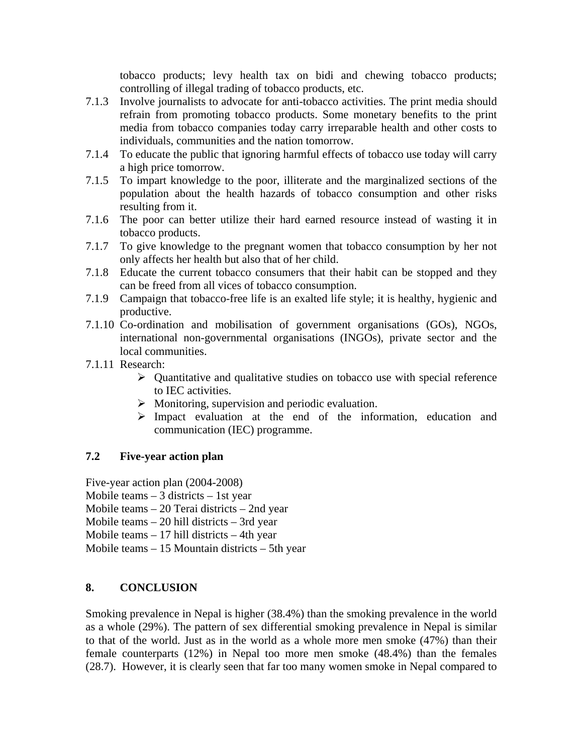tobacco products; levy health tax on bidi and chewing tobacco products; controlling of illegal trading of tobacco products, etc.

- 7.1.3 Involve journalists to advocate for anti-tobacco activities. The print media should refrain from promoting tobacco products. Some monetary benefits to the print media from tobacco companies today carry irreparable health and other costs to individuals, communities and the nation tomorrow.
- 7.1.4 To educate the public that ignoring harmful effects of tobacco use today will carry a high price tomorrow.
- 7.1.5 To impart knowledge to the poor, illiterate and the marginalized sections of the population about the health hazards of tobacco consumption and other risks resulting from it.
- 7.1.6 The poor can better utilize their hard earned resource instead of wasting it in tobacco products.
- 7.1.7 To give knowledge to the pregnant women that tobacco consumption by her not only affects her health but also that of her child.
- 7.1.8 Educate the current tobacco consumers that their habit can be stopped and they can be freed from all vices of tobacco consumption.
- 7.1.9 Campaign that tobacco-free life is an exalted life style; it is healthy, hygienic and productive.
- 7.1.10 Co-ordination and mobilisation of government organisations (GOs), NGOs, international non-governmental organisations (INGOs), private sector and the local communities.
- 7.1.11 Research:
	- $\triangleright$  Quantitative and qualitative studies on tobacco use with special reference to IEC activities.
	- $\triangleright$  Monitoring, supervision and periodic evaluation.
	- ¾ Impact evaluation at the end of the information, education and communication (IEC) programme.

### **7.2 Five-year action plan**

Five-year action plan (2004-2008)

- Mobile teams  $-3$  districts  $-1$ st year
- Mobile teams 20 Terai districts 2nd year
- Mobile teams 20 hill districts 3rd year

Mobile teams  $-17$  hill districts  $-4$ th year

Mobile teams – 15 Mountain districts – 5th year

## **8. CONCLUSION**

Smoking prevalence in Nepal is higher (38.4%) than the smoking prevalence in the world as a whole (29%). The pattern of sex differential smoking prevalence in Nepal is similar to that of the world. Just as in the world as a whole more men smoke (47%) than their female counterparts (12%) in Nepal too more men smoke (48.4%) than the females (28.7). However, it is clearly seen that far too many women smoke in Nepal compared to